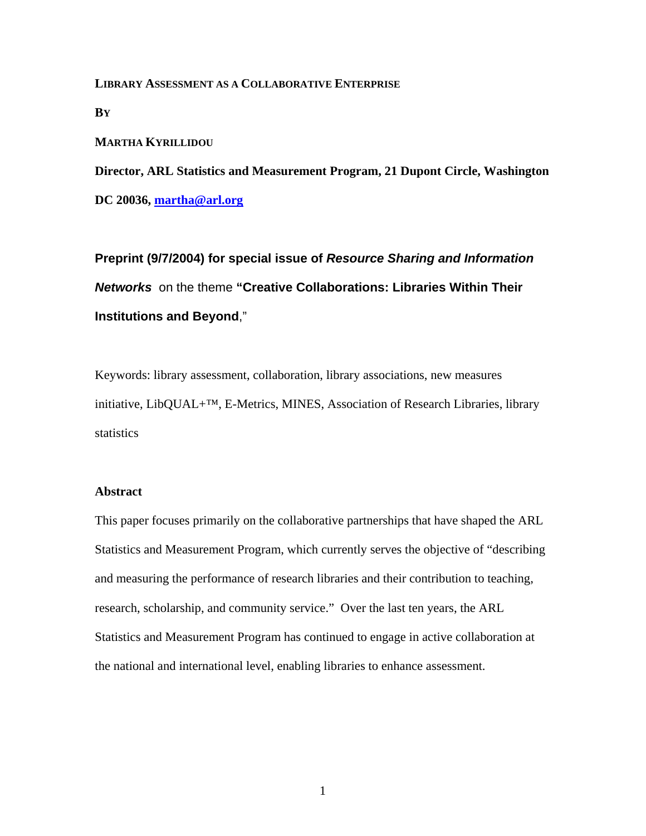**LIBRARY ASSESSMENT AS A COLLABORATIVE ENTERPRISE**

**BY** 

## **MARTHA KYRILLIDOU**

**Director, ARL Statistics and Measurement Program, 21 Dupont Circle, Washington** 

**DC 20036, martha@arl.org**

**Preprint (9/7/2004) for special issue of** *Resource Sharing and Information Networks* on the theme **"Creative Collaborations: Libraries Within Their Institutions and Beyond**,"

Keywords: library assessment, collaboration, library associations, new measures initiative, LibQUAL+™, E-Metrics, MINES, Association of Research Libraries, library statistics

# **Abstract**

This paper focuses primarily on the collaborative partnerships that have shaped the ARL Statistics and Measurement Program, which currently serves the objective of "describing and measuring the performance of research libraries and their contribution to teaching, research, scholarship, and community service." Over the last ten years, the ARL Statistics and Measurement Program has continued to engage in active collaboration at the national and international level, enabling libraries to enhance assessment.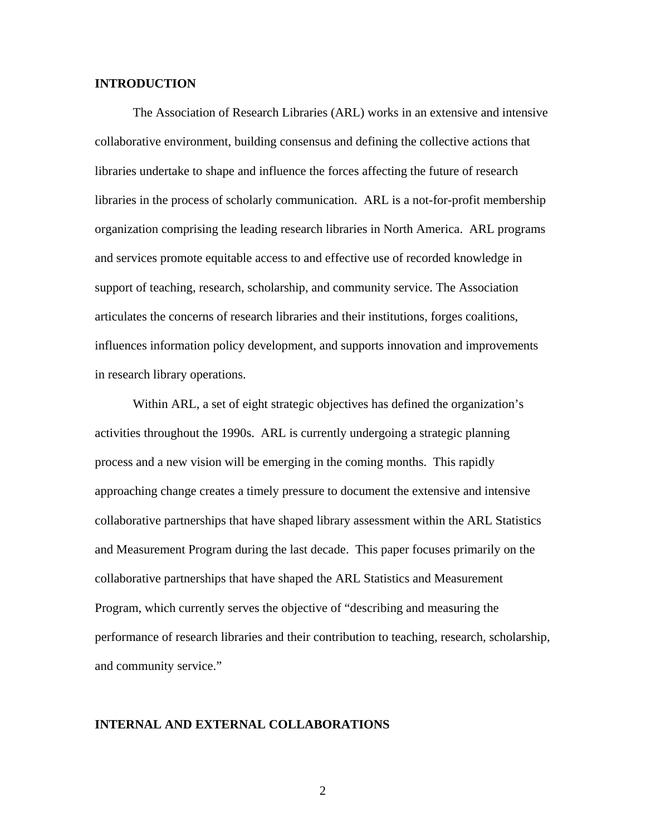# **INTRODUCTION**

The Association of Research Libraries (ARL) works in an extensive and intensive collaborative environment, building consensus and defining the collective actions that libraries undertake to shape and influence the forces affecting the future of research libraries in the process of scholarly communication. ARL is a not-for-profit membership organization comprising the leading research libraries in North America. ARL programs and services promote equitable access to and effective use of recorded knowledge in support of teaching, research, scholarship, and community service. The Association articulates the concerns of research libraries and their institutions, forges coalitions, influences information policy development, and supports innovation and improvements in research library operations.

Within ARL, a set of eight strategic objectives has defined the organization's activities throughout the 1990s. ARL is currently undergoing a strategic planning process and a new vision will be emerging in the coming months. This rapidly approaching change creates a timely pressure to document the extensive and intensive collaborative partnerships that have shaped library assessment within the ARL Statistics and Measurement Program during the last decade. This paper focuses primarily on the collaborative partnerships that have shaped the ARL Statistics and Measurement Program, which currently serves the objective of "describing and measuring the performance of research libraries and their contribution to teaching, research, scholarship, and community service."

#### **INTERNAL AND EXTERNAL COLLABORATIONS**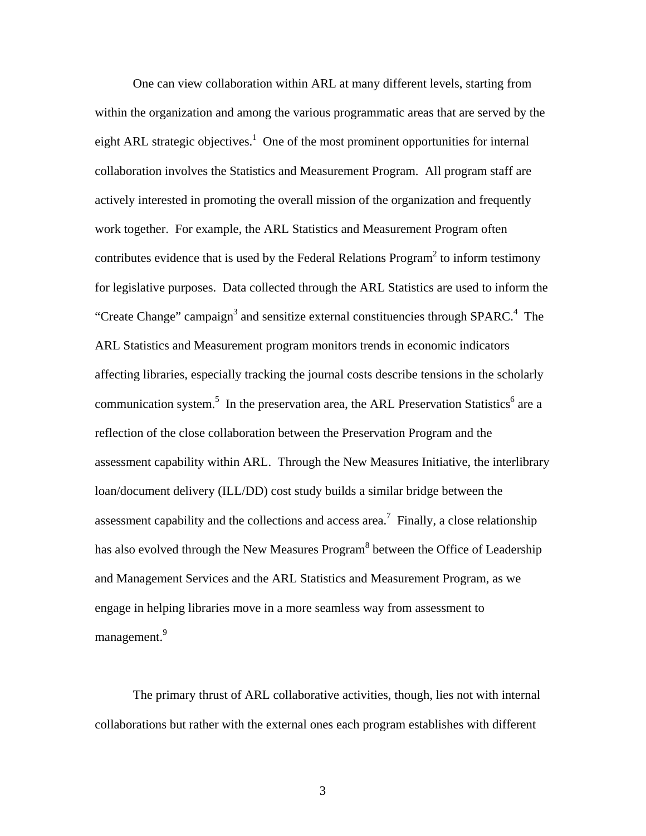One can view collaboration within ARL at many different levels, starting from within the organization and among the various programmatic areas that are served by the eight ARL strategic objectives.<sup>1</sup> One of the most prominent opportunities for internal collaboration involves the Statistics and Measurement Program. All program staff are actively interested in promoting the overall mission of the organization and frequently work together. For example, the ARL Statistics and Measurement Program often contributes evidence that is used by the Federal Relations Program<sup>2</sup> to inform testimony for legislative purposes. Data collected through the ARL Statistics are used to inform the "Create Change" campaign<sup>3</sup> and sensitize external constituencies through SPARC.<sup>4</sup> The ARL Statistics and Measurement program monitors trends in economic indicators affecting libraries, especially tracking the journal costs describe tensions in the scholarly communication system.<sup>5</sup> In the preservation area, the ARL Preservation Statistics<sup>6</sup> are a reflection of the close collaboration between the Preservation Program and the assessment capability within ARL. Through the New Measures Initiative, the interlibrary loan/document delivery (ILL/DD) cost study builds a similar bridge between the assessment capability and the collections and access area.<sup>7</sup> Finally, a close relationship has also evolved through the New Measures Program<sup>8</sup> between the Office of Leadership and Management Services and the ARL Statistics and Measurement Program, as we engage in helping libraries move in a more seamless way from assessment to management.<sup>9</sup>

The primary thrust of ARL collaborative activities, though, lies not with internal collaborations but rather with the external ones each program establishes with different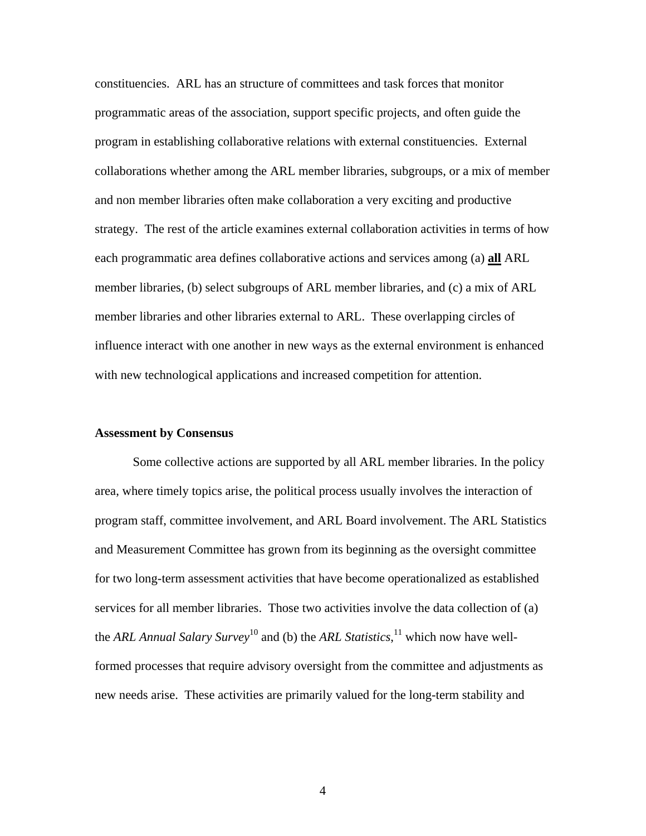constituencies. ARL has an structure of committees and task forces that monitor programmatic areas of the association, support specific projects, and often guide the program in establishing collaborative relations with external constituencies. External collaborations whether among the ARL member libraries, subgroups, or a mix of member and non member libraries often make collaboration a very exciting and productive strategy. The rest of the article examines external collaboration activities in terms of how each programmatic area defines collaborative actions and services among (a) **all** ARL member libraries, (b) select subgroups of ARL member libraries, and (c) a mix of ARL member libraries and other libraries external to ARL. These overlapping circles of influence interact with one another in new ways as the external environment is enhanced with new technological applications and increased competition for attention.

# **Assessment by Consensus**

Some collective actions are supported by all ARL member libraries. In the policy area, where timely topics arise, the political process usually involves the interaction of program staff, committee involvement, and ARL Board involvement. The ARL Statistics and Measurement Committee has grown from its beginning as the oversight committee for two long-term assessment activities that have become operationalized as established services for all member libraries. Those two activities involve the data collection of (a) the *ARL Annual Salary Survey*10 and (b) the *ARL Statistics*, 11 which now have wellformed processes that require advisory oversight from the committee and adjustments as new needs arise. These activities are primarily valued for the long-term stability and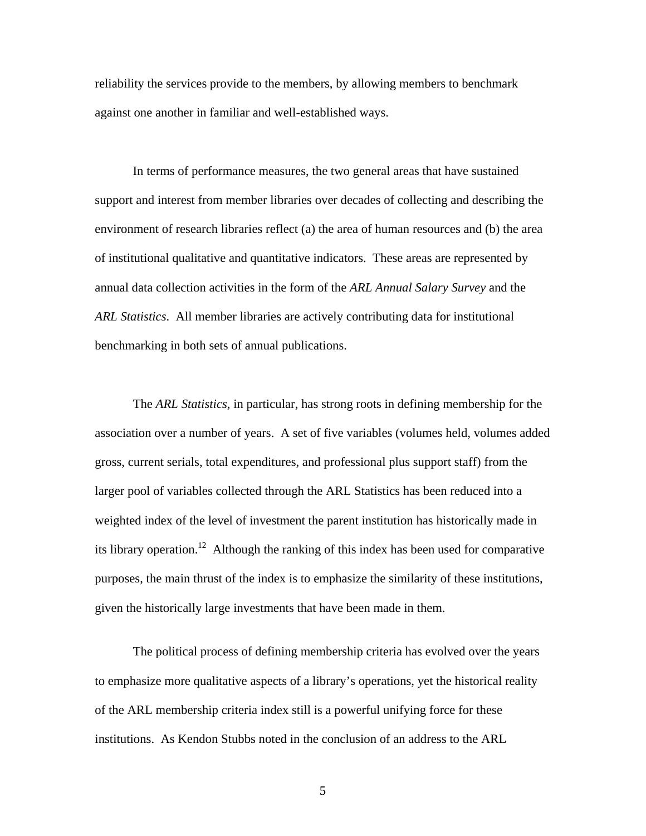reliability the services provide to the members, by allowing members to benchmark against one another in familiar and well-established ways.

In terms of performance measures, the two general areas that have sustained support and interest from member libraries over decades of collecting and describing the environment of research libraries reflect (a) the area of human resources and (b) the area of institutional qualitative and quantitative indicators. These areas are represented by annual data collection activities in the form of the *ARL Annual Salary Survey* and the *ARL Statistics*. All member libraries are actively contributing data for institutional benchmarking in both sets of annual publications.

The *ARL Statistics*, in particular, has strong roots in defining membership for the association over a number of years. A set of five variables (volumes held, volumes added gross, current serials, total expenditures, and professional plus support staff) from the larger pool of variables collected through the ARL Statistics has been reduced into a weighted index of the level of investment the parent institution has historically made in its library operation.<sup>12</sup> Although the ranking of this index has been used for comparative purposes, the main thrust of the index is to emphasize the similarity of these institutions, given the historically large investments that have been made in them.

The political process of defining membership criteria has evolved over the years to emphasize more qualitative aspects of a library's operations, yet the historical reality of the ARL membership criteria index still is a powerful unifying force for these institutions. As Kendon Stubbs noted in the conclusion of an address to the ARL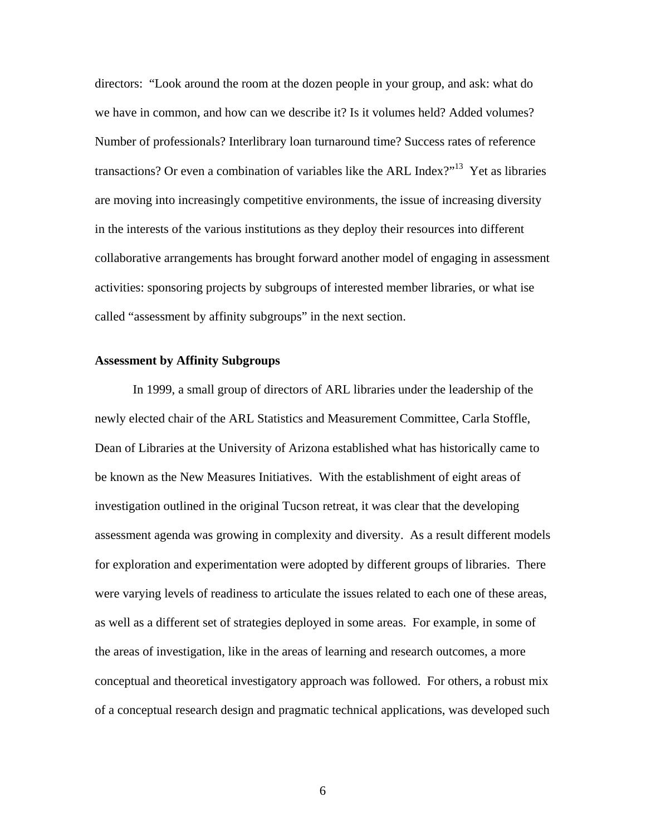directors: "Look around the room at the dozen people in your group, and ask: what do we have in common, and how can we describe it? Is it volumes held? Added volumes? Number of professionals? Interlibrary loan turnaround time? Success rates of reference transactions? Or even a combination of variables like the ARL Index?"<sup>13</sup> Yet as libraries are moving into increasingly competitive environments, the issue of increasing diversity in the interests of the various institutions as they deploy their resources into different collaborative arrangements has brought forward another model of engaging in assessment activities: sponsoring projects by subgroups of interested member libraries, or what ise called "assessment by affinity subgroups" in the next section.

## **Assessment by Affinity Subgroups**

In 1999, a small group of directors of ARL libraries under the leadership of the newly elected chair of the ARL Statistics and Measurement Committee, Carla Stoffle, Dean of Libraries at the University of Arizona established what has historically came to be known as the New Measures Initiatives. With the establishment of eight areas of investigation outlined in the original Tucson retreat, it was clear that the developing assessment agenda was growing in complexity and diversity. As a result different models for exploration and experimentation were adopted by different groups of libraries. There were varying levels of readiness to articulate the issues related to each one of these areas, as well as a different set of strategies deployed in some areas. For example, in some of the areas of investigation, like in the areas of learning and research outcomes, a more conceptual and theoretical investigatory approach was followed. For others, a robust mix of a conceptual research design and pragmatic technical applications, was developed such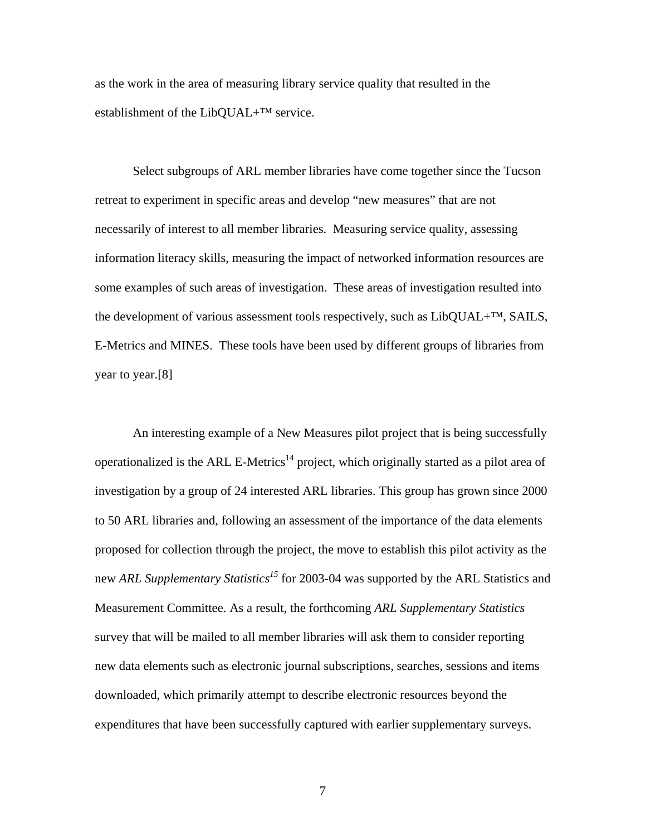as the work in the area of measuring library service quality that resulted in the establishment of the LibQUAL+<sup>™</sup> service.

Select subgroups of ARL member libraries have come together since the Tucson retreat to experiment in specific areas and develop "new measures" that are not necessarily of interest to all member libraries. Measuring service quality, assessing information literacy skills, measuring the impact of networked information resources are some examples of such areas of investigation. These areas of investigation resulted into the development of various assessment tools respectively, such as LibQUAL+™, SAILS, E-Metrics and MINES. These tools have been used by different groups of libraries from year to year.[8]

An interesting example of a New Measures pilot project that is being successfully operationalized is the ARL E-Metrics<sup>14</sup> project, which originally started as a pilot area of investigation by a group of 24 interested ARL libraries. This group has grown since 2000 to 50 ARL libraries and, following an assessment of the importance of the data elements proposed for collection through the project, the move to establish this pilot activity as the new *ARL Supplementary Statistics<sup>15</sup>* for 2003-04 was supported by the ARL Statistics and Measurement Committee. As a result, the forthcoming *ARL Supplementary Statistics* survey that will be mailed to all member libraries will ask them to consider reporting new data elements such as electronic journal subscriptions, searches, sessions and items downloaded, which primarily attempt to describe electronic resources beyond the expenditures that have been successfully captured with earlier supplementary surveys.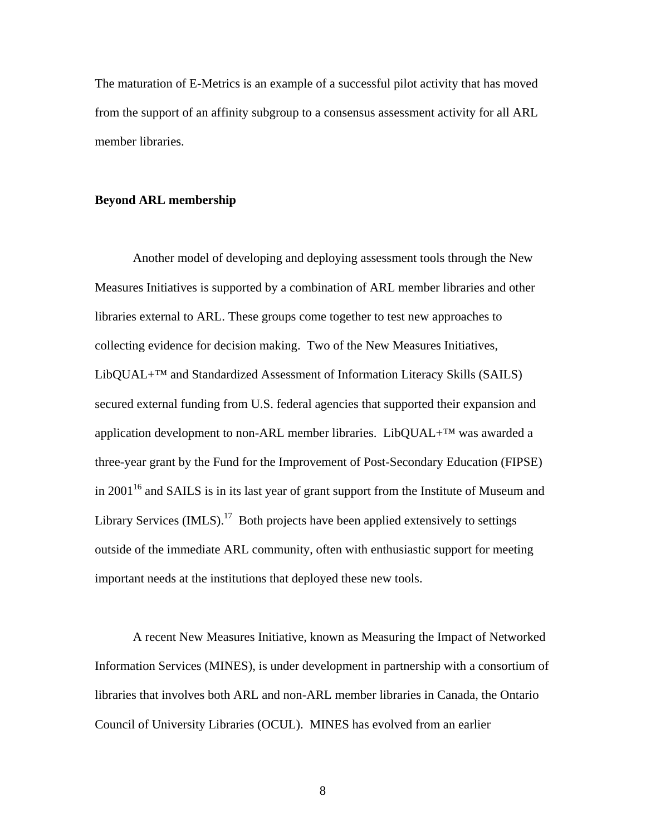The maturation of E-Metrics is an example of a successful pilot activity that has moved from the support of an affinity subgroup to a consensus assessment activity for all ARL member libraries.

# **Beyond ARL membership**

Another model of developing and deploying assessment tools through the New Measures Initiatives is supported by a combination of ARL member libraries and other libraries external to ARL. These groups come together to test new approaches to collecting evidence for decision making. Two of the New Measures Initiatives,  $LibQUAL+^{TM}$  and Standardized Assessment of Information Literacy Skills (SAILS) secured external funding from U.S. federal agencies that supported their expansion and application development to non-ARL member libraries. LibQUAL+ $^{TM}$  was awarded a three-year grant by the Fund for the Improvement of Post-Secondary Education (FIPSE) in  $2001^{16}$  and SAILS is in its last year of grant support from the Institute of Museum and Library Services  $(IMLS)$ .<sup>17</sup> Both projects have been applied extensively to settings outside of the immediate ARL community, often with enthusiastic support for meeting important needs at the institutions that deployed these new tools.

A recent New Measures Initiative, known as Measuring the Impact of Networked Information Services (MINES), is under development in partnership with a consortium of libraries that involves both ARL and non-ARL member libraries in Canada, the Ontario Council of University Libraries (OCUL). MINES has evolved from an earlier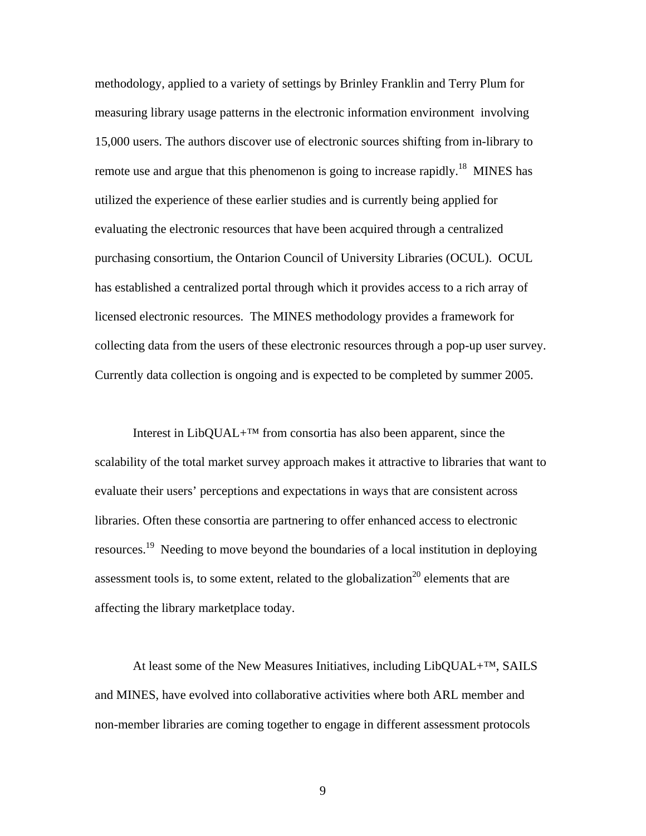methodology, applied to a variety of settings by Brinley Franklin and Terry Plum for measuring library usage patterns in the electronic information environment involving 15,000 users. The authors discover use of electronic sources shifting from in-library to remote use and argue that this phenomenon is going to increase rapidly.<sup>18</sup> MINES has utilized the experience of these earlier studies and is currently being applied for evaluating the electronic resources that have been acquired through a centralized purchasing consortium, the Ontarion Council of University Libraries (OCUL). OCUL has established a centralized portal through which it provides access to a rich array of licensed electronic resources. The MINES methodology provides a framework for collecting data from the users of these electronic resources through a pop-up user survey. Currently data collection is ongoing and is expected to be completed by summer 2005.

Interest in LibQUAL+™ from consortia has also been apparent, since the scalability of the total market survey approach makes it attractive to libraries that want to evaluate their users' perceptions and expectations in ways that are consistent across libraries. Often these consortia are partnering to offer enhanced access to electronic resources.<sup>19</sup> Needing to move beyond the boundaries of a local institution in deploying assessment tools is, to some extent, related to the globalization<sup>20</sup> elements that are affecting the library marketplace today.

At least some of the New Measures Initiatives, including LibQUAL+™, SAILS and MINES, have evolved into collaborative activities where both ARL member and non-member libraries are coming together to engage in different assessment protocols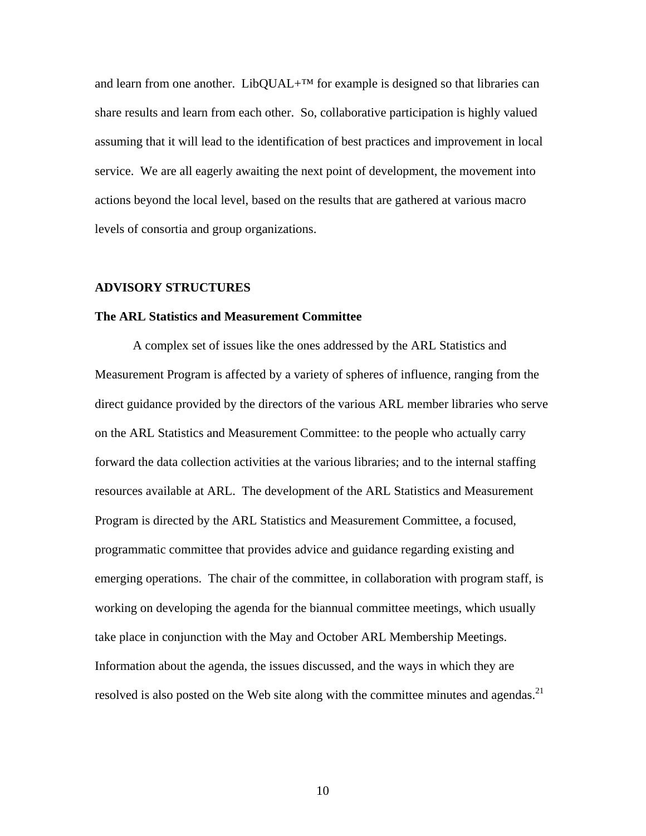and learn from one another. LibQUAL+<sup>™</sup> for example is designed so that libraries can share results and learn from each other. So, collaborative participation is highly valued assuming that it will lead to the identification of best practices and improvement in local service. We are all eagerly awaiting the next point of development, the movement into actions beyond the local level, based on the results that are gathered at various macro levels of consortia and group organizations.

## **ADVISORY STRUCTURES**

#### **The ARL Statistics and Measurement Committee**

A complex set of issues like the ones addressed by the ARL Statistics and Measurement Program is affected by a variety of spheres of influence, ranging from the direct guidance provided by the directors of the various ARL member libraries who serve on the ARL Statistics and Measurement Committee: to the people who actually carry forward the data collection activities at the various libraries; and to the internal staffing resources available at ARL. The development of the ARL Statistics and Measurement Program is directed by the ARL Statistics and Measurement Committee, a focused, programmatic committee that provides advice and guidance regarding existing and emerging operations. The chair of the committee, in collaboration with program staff, is working on developing the agenda for the biannual committee meetings, which usually take place in conjunction with the May and October ARL Membership Meetings. Information about the agenda, the issues discussed, and the ways in which they are resolved is also posted on the Web site along with the committee minutes and agendas.<sup>21</sup>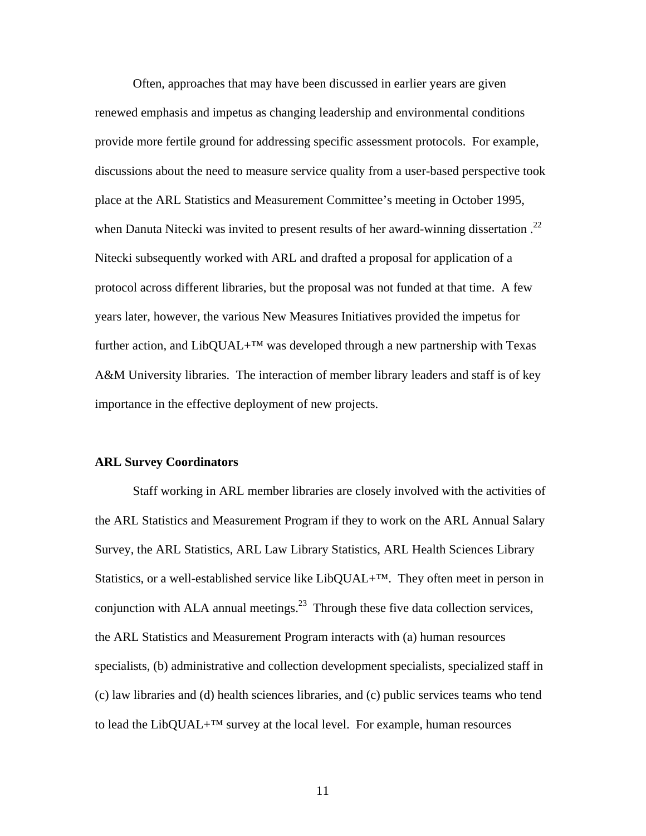Often, approaches that may have been discussed in earlier years are given renewed emphasis and impetus as changing leadership and environmental conditions provide more fertile ground for addressing specific assessment protocols. For example, discussions about the need to measure service quality from a user-based perspective took place at the ARL Statistics and Measurement Committee's meeting in October 1995, when Danuta Nitecki was invited to present results of her award-winning dissertation.<sup>22</sup> Nitecki subsequently worked with ARL and drafted a proposal for application of a protocol across different libraries, but the proposal was not funded at that time. A few years later, however, the various New Measures Initiatives provided the impetus for further action, and  $LibQUAL+<sup>TM</sup>$  was developed through a new partnership with Texas A&M University libraries. The interaction of member library leaders and staff is of key importance in the effective deployment of new projects.

# **ARL Survey Coordinators**

Staff working in ARL member libraries are closely involved with the activities of the ARL Statistics and Measurement Program if they to work on the ARL Annual Salary Survey, the ARL Statistics, ARL Law Library Statistics, ARL Health Sciences Library Statistics, or a well-established service like LibQUAL+™. They often meet in person in conjunction with ALA annual meetings.<sup>23</sup> Through these five data collection services, the ARL Statistics and Measurement Program interacts with (a) human resources specialists, (b) administrative and collection development specialists, specialized staff in (c) law libraries and (d) health sciences libraries, and (c) public services teams who tend to lead the LibQUAL+ $^{TM}$  survey at the local level. For example, human resources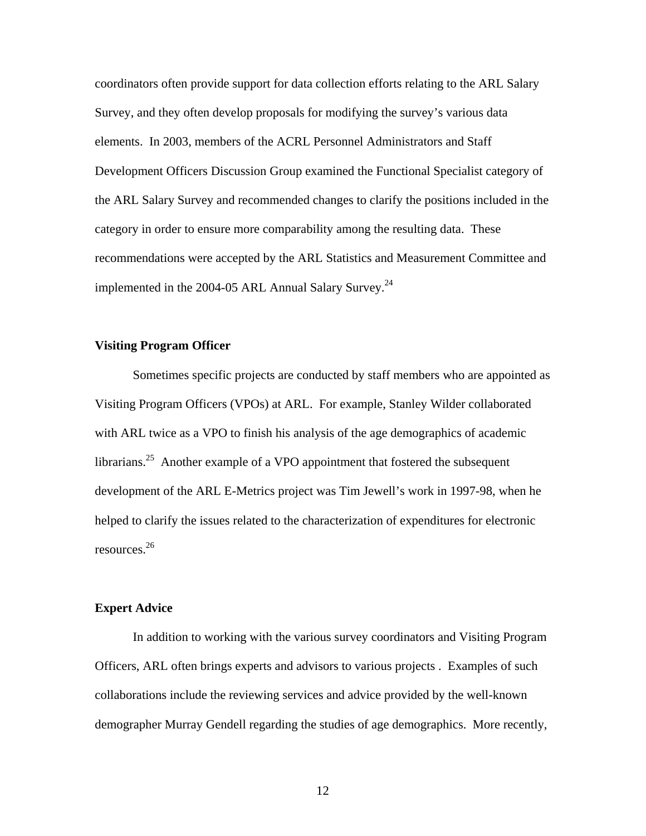coordinators often provide support for data collection efforts relating to the ARL Salary Survey, and they often develop proposals for modifying the survey's various data elements. In 2003, members of the ACRL Personnel Administrators and Staff Development Officers Discussion Group examined the Functional Specialist category of the ARL Salary Survey and recommended changes to clarify the positions included in the category in order to ensure more comparability among the resulting data. These recommendations were accepted by the ARL Statistics and Measurement Committee and implemented in the 2004-05 ARL Annual Salary Survey.<sup>24</sup>

# **Visiting Program Officer**

Sometimes specific projects are conducted by staff members who are appointed as Visiting Program Officers (VPOs) at ARL. For example, Stanley Wilder collaborated with ARL twice as a VPO to finish his analysis of the age demographics of academic librarians.<sup>25</sup> Another example of a VPO appointment that fostered the subsequent development of the ARL E-Metrics project was Tim Jewell's work in 1997-98, when he helped to clarify the issues related to the characterization of expenditures for electronic resources.26

## **Expert Advice**

In addition to working with the various survey coordinators and Visiting Program Officers, ARL often brings experts and advisors to various projects . Examples of such collaborations include the reviewing services and advice provided by the well-known demographer Murray Gendell regarding the studies of age demographics. More recently,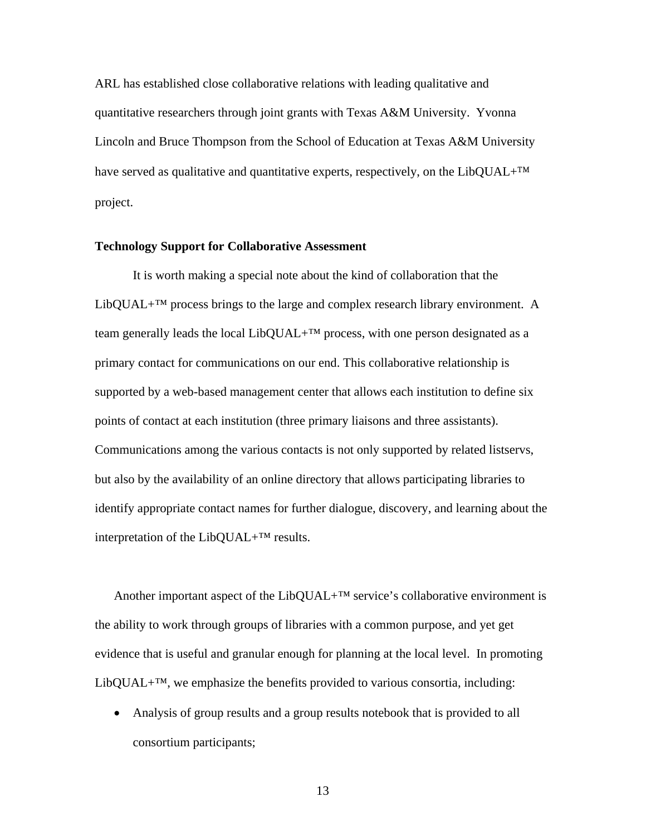ARL has established close collaborative relations with leading qualitative and quantitative researchers through joint grants with Texas A&M University. Yvonna Lincoln and Bruce Thompson from the School of Education at Texas A&M University have served as qualitative and quantitative experts, respectively, on the LibQUAL+ $^{TM}$ project.

# **Technology Support for Collaborative Assessment**

It is worth making a special note about the kind of collaboration that the LibQUAL+ $^{TM}$  process brings to the large and complex research library environment. A team generally leads the local LibQUAL+ $^{TM}$  process, with one person designated as a primary contact for communications on our end. This collaborative relationship is supported by a web-based management center that allows each institution to define six points of contact at each institution (three primary liaisons and three assistants). Communications among the various contacts is not only supported by related listservs, but also by the availability of an online directory that allows participating libraries to identify appropriate contact names for further dialogue, discovery, and learning about the interpretation of the LibQUAL+™ results.

Another important aspect of the LibQUAL+ $^{TM}$  service's collaborative environment is the ability to work through groups of libraries with a common purpose, and yet get evidence that is useful and granular enough for planning at the local level. In promoting LibQUAL $+^{TM}$ , we emphasize the benefits provided to various consortia, including:

• Analysis of group results and a group results notebook that is provided to all consortium participants;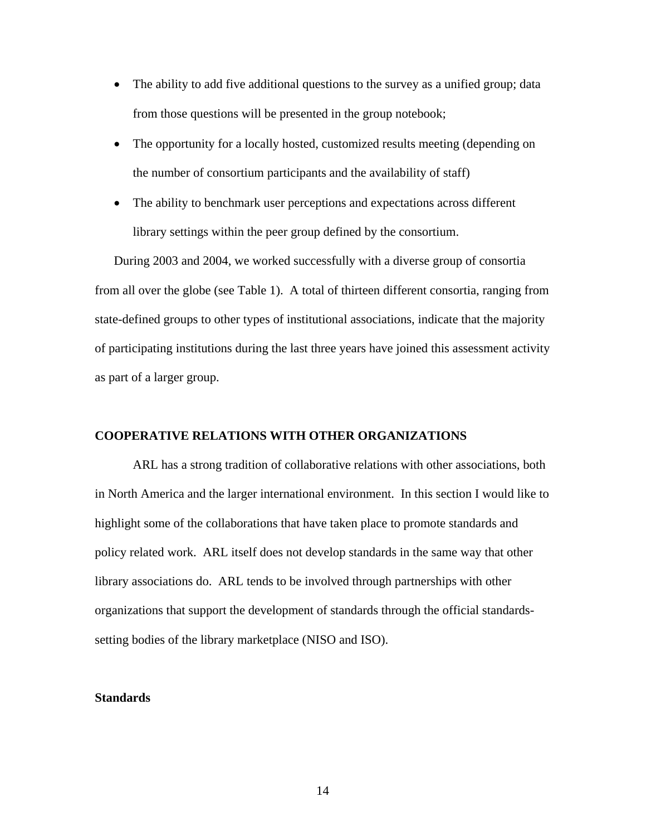- The ability to add five additional questions to the survey as a unified group; data from those questions will be presented in the group notebook;
- The opportunity for a locally hosted, customized results meeting (depending on the number of consortium participants and the availability of staff)
- The ability to benchmark user perceptions and expectations across different library settings within the peer group defined by the consortium.

During 2003 and 2004, we worked successfully with a diverse group of consortia from all over the globe (see Table 1). A total of thirteen different consortia, ranging from state-defined groups to other types of institutional associations, indicate that the majority of participating institutions during the last three years have joined this assessment activity as part of a larger group.

# **COOPERATIVE RELATIONS WITH OTHER ORGANIZATIONS**

ARL has a strong tradition of collaborative relations with other associations, both in North America and the larger international environment. In this section I would like to highlight some of the collaborations that have taken place to promote standards and policy related work. ARL itself does not develop standards in the same way that other library associations do. ARL tends to be involved through partnerships with other organizations that support the development of standards through the official standardssetting bodies of the library marketplace (NISO and ISO).

# **Standards**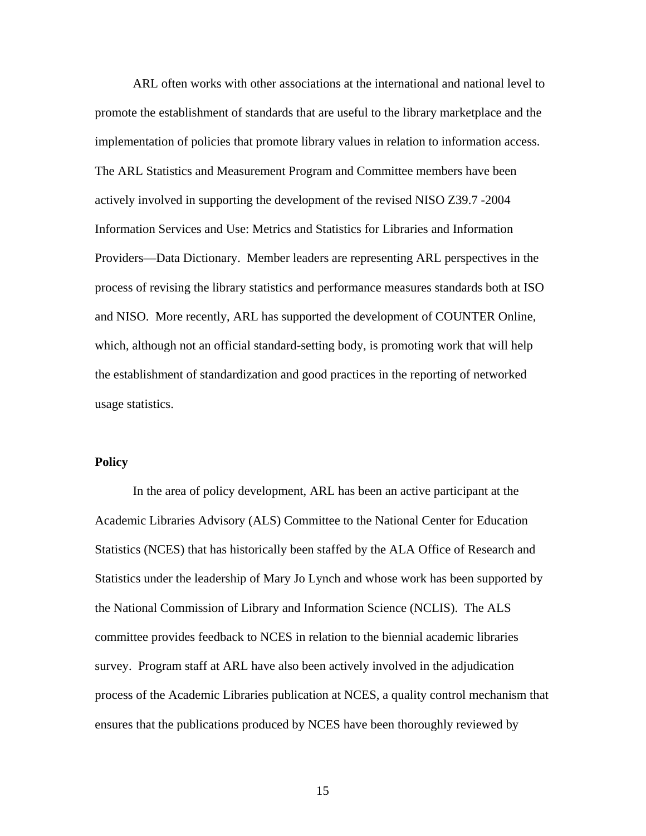ARL often works with other associations at the international and national level to promote the establishment of standards that are useful to the library marketplace and the implementation of policies that promote library values in relation to information access. The ARL Statistics and Measurement Program and Committee members have been actively involved in supporting the development of the revised NISO Z39.7 -2004 Information Services and Use: Metrics and Statistics for Libraries and Information Providers—Data Dictionary. Member leaders are representing ARL perspectives in the process of revising the library statistics and performance measures standards both at ISO and NISO. More recently, ARL has supported the development of COUNTER Online, which, although not an official standard-setting body, is promoting work that will help the establishment of standardization and good practices in the reporting of networked usage statistics.

# **Policy**

In the area of policy development, ARL has been an active participant at the Academic Libraries Advisory (ALS) Committee to the National Center for Education Statistics (NCES) that has historically been staffed by the ALA Office of Research and Statistics under the leadership of Mary Jo Lynch and whose work has been supported by the National Commission of Library and Information Science (NCLIS). The ALS committee provides feedback to NCES in relation to the biennial academic libraries survey. Program staff at ARL have also been actively involved in the adjudication process of the Academic Libraries publication at NCES, a quality control mechanism that ensures that the publications produced by NCES have been thoroughly reviewed by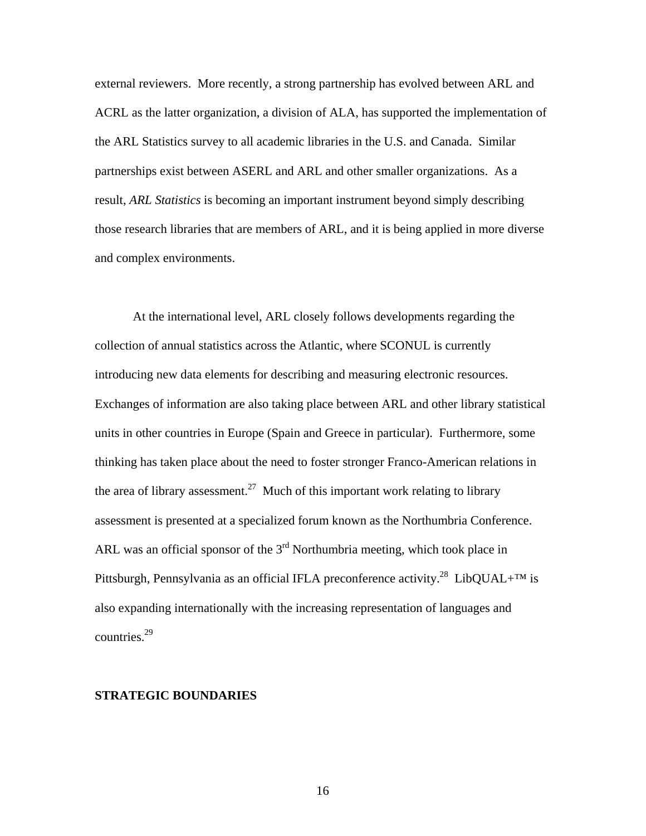external reviewers. More recently, a strong partnership has evolved between ARL and ACRL as the latter organization, a division of ALA, has supported the implementation of the ARL Statistics survey to all academic libraries in the U.S. and Canada. Similar partnerships exist between ASERL and ARL and other smaller organizations. As a result, *ARL Statistics* is becoming an important instrument beyond simply describing those research libraries that are members of ARL, and it is being applied in more diverse and complex environments.

At the international level, ARL closely follows developments regarding the collection of annual statistics across the Atlantic, where SCONUL is currently introducing new data elements for describing and measuring electronic resources. Exchanges of information are also taking place between ARL and other library statistical units in other countries in Europe (Spain and Greece in particular). Furthermore, some thinking has taken place about the need to foster stronger Franco-American relations in the area of library assessment.<sup>27</sup> Much of this important work relating to library assessment is presented at a specialized forum known as the Northumbria Conference. ARL was an official sponsor of the  $3<sup>rd</sup>$  Northumbria meeting, which took place in Pittsburgh, Pennsylvania as an official IFLA preconference activity.<sup>28</sup> LibQUAL+<sup>TM</sup> is also expanding internationally with the increasing representation of languages and countries.29

# **STRATEGIC BOUNDARIES**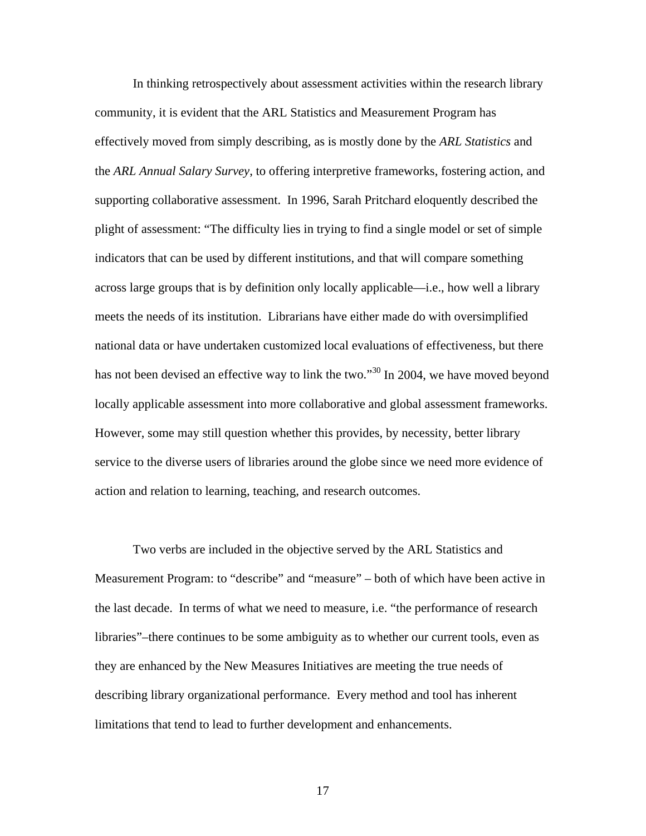In thinking retrospectively about assessment activities within the research library community, it is evident that the ARL Statistics and Measurement Program has effectively moved from simply describing, as is mostly done by the *ARL Statistics* and the *ARL Annual Salary Survey*, to offering interpretive frameworks, fostering action, and supporting collaborative assessment. In 1996, Sarah Pritchard eloquently described the plight of assessment: "The difficulty lies in trying to find a single model or set of simple indicators that can be used by different institutions, and that will compare something across large groups that is by definition only locally applicable—i.e., how well a library meets the needs of its institution. Librarians have either made do with oversimplified national data or have undertaken customized local evaluations of effectiveness, but there has not been devised an effective way to link the two."<sup>30</sup> In 2004, we have moved beyond locally applicable assessment into more collaborative and global assessment frameworks. However, some may still question whether this provides, by necessity, better library service to the diverse users of libraries around the globe since we need more evidence of action and relation to learning, teaching, and research outcomes.

Two verbs are included in the objective served by the ARL Statistics and Measurement Program: to "describe" and "measure" – both of which have been active in the last decade. In terms of what we need to measure, i.e. "the performance of research libraries"–there continues to be some ambiguity as to whether our current tools, even as they are enhanced by the New Measures Initiatives are meeting the true needs of describing library organizational performance. Every method and tool has inherent limitations that tend to lead to further development and enhancements.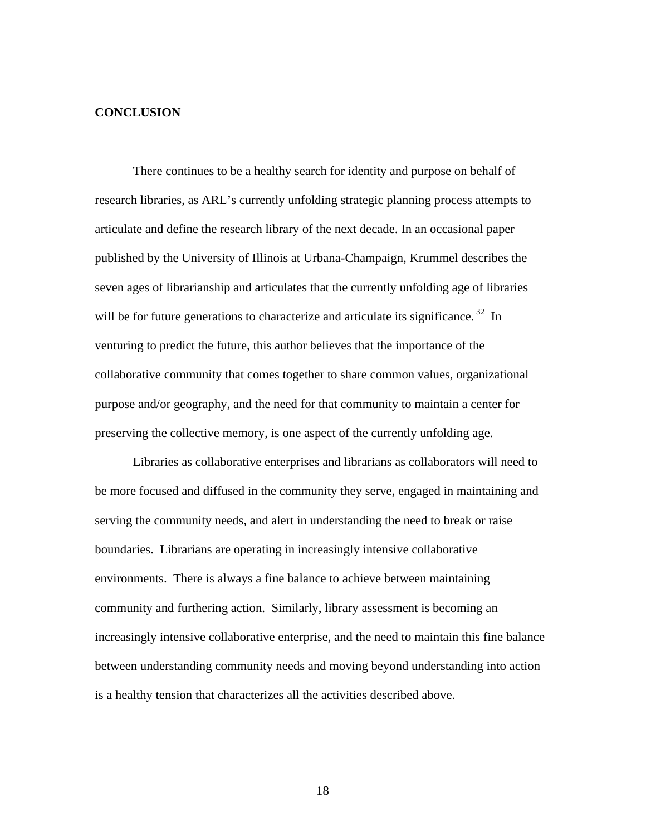# **CONCLUSION**

There continues to be a healthy search for identity and purpose on behalf of research libraries, as ARL's currently unfolding strategic planning process attempts to articulate and define the research library of the next decade. In an occasional paper published by the University of Illinois at Urbana-Champaign, Krummel describes the seven ages of librarianship and articulates that the currently unfolding age of libraries will be for future generations to characterize and articulate its significance.<sup>32</sup> In venturing to predict the future, this author believes that the importance of the collaborative community that comes together to share common values, organizational purpose and/or geography, and the need for that community to maintain a center for preserving the collective memory, is one aspect of the currently unfolding age.

Libraries as collaborative enterprises and librarians as collaborators will need to be more focused and diffused in the community they serve, engaged in maintaining and serving the community needs, and alert in understanding the need to break or raise boundaries. Librarians are operating in increasingly intensive collaborative environments. There is always a fine balance to achieve between maintaining community and furthering action. Similarly, library assessment is becoming an increasingly intensive collaborative enterprise, and the need to maintain this fine balance between understanding community needs and moving beyond understanding into action is a healthy tension that characterizes all the activities described above.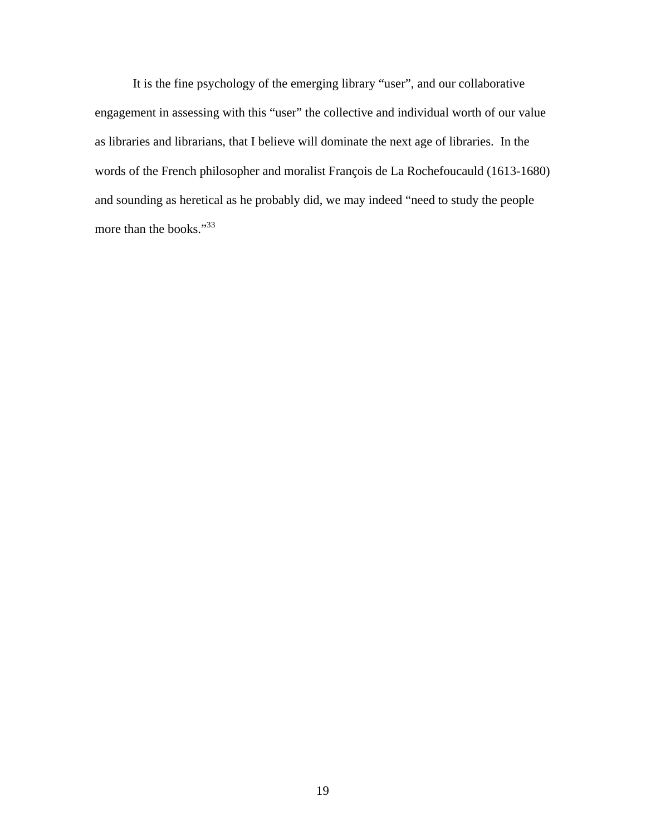It is the fine psychology of the emerging library "user", and our collaborative engagement in assessing with this "user" the collective and individual worth of our value as libraries and librarians, that I believe will dominate the next age of libraries. In the words of the French philosopher and moralist François de La Rochefoucauld (1613-1680) and sounding as heretical as he probably did, we may indeed "need to study the people more than the books."<sup>33</sup>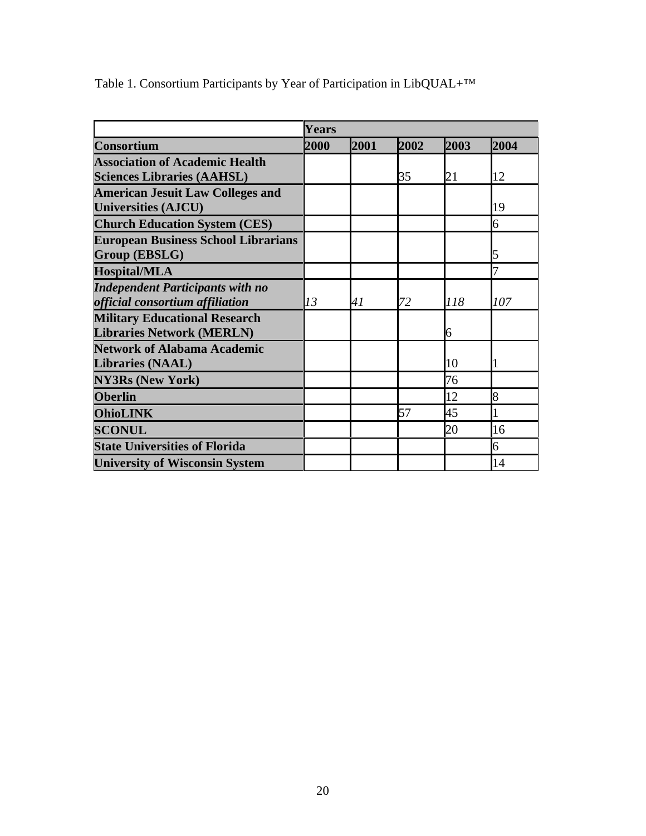| <b>Consortium</b>                          | <b>Years</b> |      |      |      |      |
|--------------------------------------------|--------------|------|------|------|------|
|                                            | 2000         | 2001 | 2002 | 2003 | 2004 |
| <b>Association of Academic Health</b>      |              |      |      |      |      |
| <b>Sciences Libraries (AAHSL)</b>          |              |      | 35   | 21   | 12   |
| <b>American Jesuit Law Colleges and</b>    |              |      |      |      |      |
| <b>Universities (AJCU)</b>                 |              |      |      |      | 19   |
| <b>Church Education System (CES)</b>       |              |      |      |      | 6    |
| <b>European Business School Librarians</b> |              |      |      |      |      |
| Group (EBSLG)                              |              |      |      |      | 5    |
| <b>Hospital/MLA</b>                        |              |      |      |      | 7    |
| <b>Independent Participants with no</b>    |              |      |      |      |      |
| official consortium affiliation            | 13           | 41   | 72   | 118  | 107  |
| <b>Military Educational Research</b>       |              |      |      |      |      |
| <b>Libraries Network (MERLN)</b>           |              |      |      | 6    |      |
| <b>Network of Alabama Academic</b>         |              |      |      |      |      |
| Libraries (NAAL)                           |              |      |      | 10   |      |
| <b>NY3Rs (New York)</b>                    |              |      |      | 76   |      |
| <b>Oberlin</b>                             |              |      |      | 12   | 8    |
| <b>OhioLINK</b>                            |              |      | 57   | 45   |      |
| <b>SCONUL</b>                              |              |      |      | 20   | 16   |
| <b>State Universities of Florida</b>       |              |      |      |      | 6    |
| <b>University of Wisconsin System</b>      |              |      |      |      | 14   |

Table 1. Consortium Participants by Year of Participation in LibQUAL+™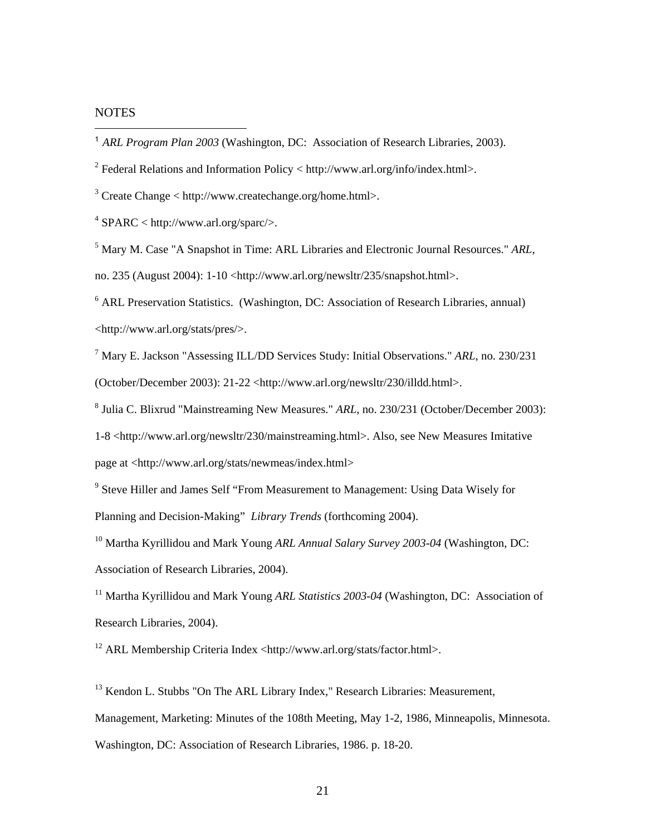# **NOTES**

 $\overline{a}$ 

<sup>2</sup> Federal Relations and Information Policy < http://www.arl.org/info/index.html>.

 $3$  Create Change < http://www.createchange.org/home.html>.

 $4$  SPARC < http://www.arl.org/sparc/>.

5 Mary M. Case "A Snapshot in Time: ARL Libraries and Electronic Journal Resources." *ARL*, no. 235 (August 2004): 1-10 <http://www.arl.org/newsltr/235/snapshot.html>.

<sup>6</sup> ARL Preservation Statistics. (Washington, DC: Association of Research Libraries, annual) <http://www.arl.org/stats/pres/>.

7 Mary E. Jackson "Assessing ILL/DD Services Study: Initial Observations." *ARL*, no. 230/231 (October/December 2003): 21-22 <http://www.arl.org/newsltr/230/illdd.html>.

8 Julia C. Blixrud "Mainstreaming New Measures." *ARL*, no. 230/231 (October/December 2003):

1-8 <http://www.arl.org/newsltr/230/mainstreaming.html>. Also, see New Measures Imitative

page at <http://www.arl.org/stats/newmeas/index.html>

<sup>9</sup> Steve Hiller and James Self "From Measurement to Management: Using Data Wisely for Planning and Decision-Making" *Library Trends* (forthcoming 2004).

10 Martha Kyrillidou and Mark Young *ARL Annual Salary Survey 2003-04* (Washington, DC: Association of Research Libraries, 2004).

<sup>11</sup> Martha Kyrillidou and Mark Young *ARL Statistics 2003-04* (Washington, DC: Association of Research Libraries, 2004).

 $12$  ARL Membership Criteria Index <http://www.arl.org/stats/factor.html>.

<sup>13</sup> Kendon L. Stubbs "On The ARL Library Index," Research Libraries: Measurement, Management, Marketing: Minutes of the 108th Meeting, May 1-2, 1986, Minneapolis, Minnesota. Washington, DC: Association of Research Libraries, 1986. p. 18-20.

<sup>1</sup> *ARL Program Plan 2003* (Washington, DC: Association of Research Libraries, 2003).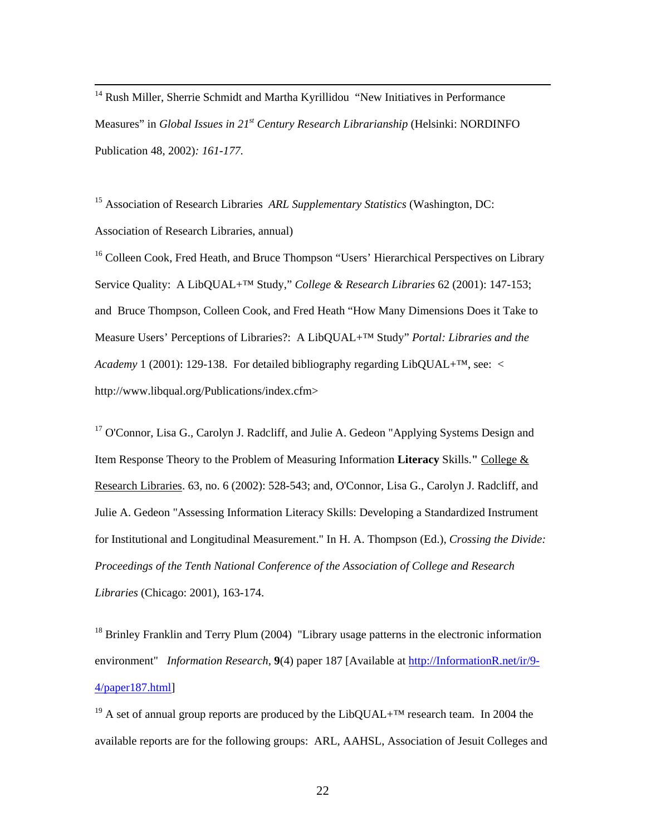<sup>14</sup> Rush Miller, Sherrie Schmidt and Martha Kyrillidou "New Initiatives in Performance Measures" in *Global Issues in 21st Century Research Librarianship* (Helsinki: NORDINFO Publication 48, 2002)*: 161-177.* 

15 Association of Research Libraries *ARL Supplementary Statistics* (Washington, DC: Association of Research Libraries, annual)

<sup>16</sup> Colleen Cook, Fred Heath, and Bruce Thompson "Users' Hierarchical Perspectives on Library Service Quality: A LibQUAL+™ Study," *College & Research Libraries* 62 (2001): 147-153; and Bruce Thompson, Colleen Cook, and Fred Heath "How Many Dimensions Does it Take to Measure Users' Perceptions of Libraries?: A LibQUAL+™ Study" *Portal: Libraries and the Academy* 1 (2001): 129-138. For detailed bibliography regarding LibQUAL+<sup>TM</sup>, see: < http://www.libqual.org/Publications/index.cfm>

<sup>17</sup> O'Connor, Lisa G., Carolyn J. Radcliff, and Julie A. Gedeon "Applying Systems Design and Item Response Theory to the Problem of Measuring Information **Literacy** Skills.**"** College & Research Libraries. 63, no. 6 (2002): 528-543; and, O'Connor, Lisa G., Carolyn J. Radcliff, and Julie A. Gedeon "Assessing Information Literacy Skills: Developing a Standardized Instrument for Institutional and Longitudinal Measurement." In H. A. Thompson (Ed.), *Crossing the Divide: Proceedings of the Tenth National Conference of the Association of College and Research Libraries* (Chicago: 2001), 163-174.

<sup>18</sup> Brinley Franklin and Terry Plum (2004) "Library usage patterns in the electronic information environment" *Information Research*, **9**(4) paper 187 [Available at http://InformationR.net/ir/9- 4/paper187.html]

<sup>19</sup> A set of annual group reports are produced by the LibQUAL+<sup>TM</sup> research team. In 2004 the available reports are for the following groups: ARL, AAHSL, Association of Jesuit Colleges and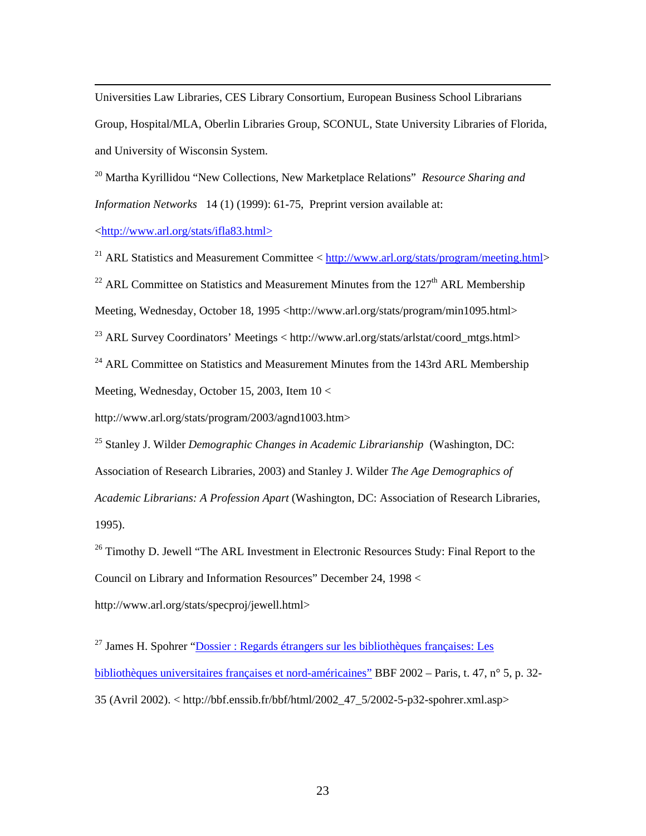Universities Law Libraries, CES Library Consortium, European Business School Librarians Group, Hospital/MLA, Oberlin Libraries Group, SCONUL, State University Libraries of Florida, and University of Wisconsin System.

20 Martha Kyrillidou "New Collections, New Marketplace Relations" *Resource Sharing and Information Networks* 14 (1) (1999): 61-75, Preprint version available at:

<http://www.arl.org/stats/ifla83.html>

 $\overline{a}$ 

<sup>21</sup> ARL Statistics and Measurement Committee < http://www.arl.org/stats/program/meeting.html> <sup>22</sup> ARL Committee on Statistics and Measurement Minutes from the  $127<sup>th</sup>$  ARL Membership Meeting, Wednesday, October 18, 1995 <http://www.arl.org/stats/program/min1095.html> <sup>23</sup> ARL Survey Coordinators' Meetings  $\langle$  http://www.arl.org/stats/arlstat/coord\_mtgs.html>  $^{24}$  ARL Committee on Statistics and Measurement Minutes from the 143rd ARL Membership Meeting, Wednesday, October 15, 2003, Item 10 <

http://www.arl.org/stats/program/2003/agnd1003.htm>

25 Stanley J. Wilder *Demographic Changes in Academic Librarianship* (Washington, DC: Association of Research Libraries, 2003) and Stanley J. Wilder *The Age Demographics of Academic Librarians: A Profession Apart* (Washington, DC: Association of Research Libraries, 1995).

 $26$  Timothy D. Jewell "The ARL Investment in Electronic Resources Study: Final Report to the Council on Library and Information Resources" December 24, 1998 < http://www.arl.org/stats/specproj/jewell.html>

 $27$  James H. Spohrer "Dossier : Regards étrangers sur les bibliothèques françaises: Les bibliothèques universitaires françaises et nord-américaines" BBF 2002 – Paris, t. 47, n° 5, p. 32- 35 (Avril 2002). < http://bbf.enssib.fr/bbf/html/2002\_47\_5/2002-5-p32-spohrer.xml.asp>